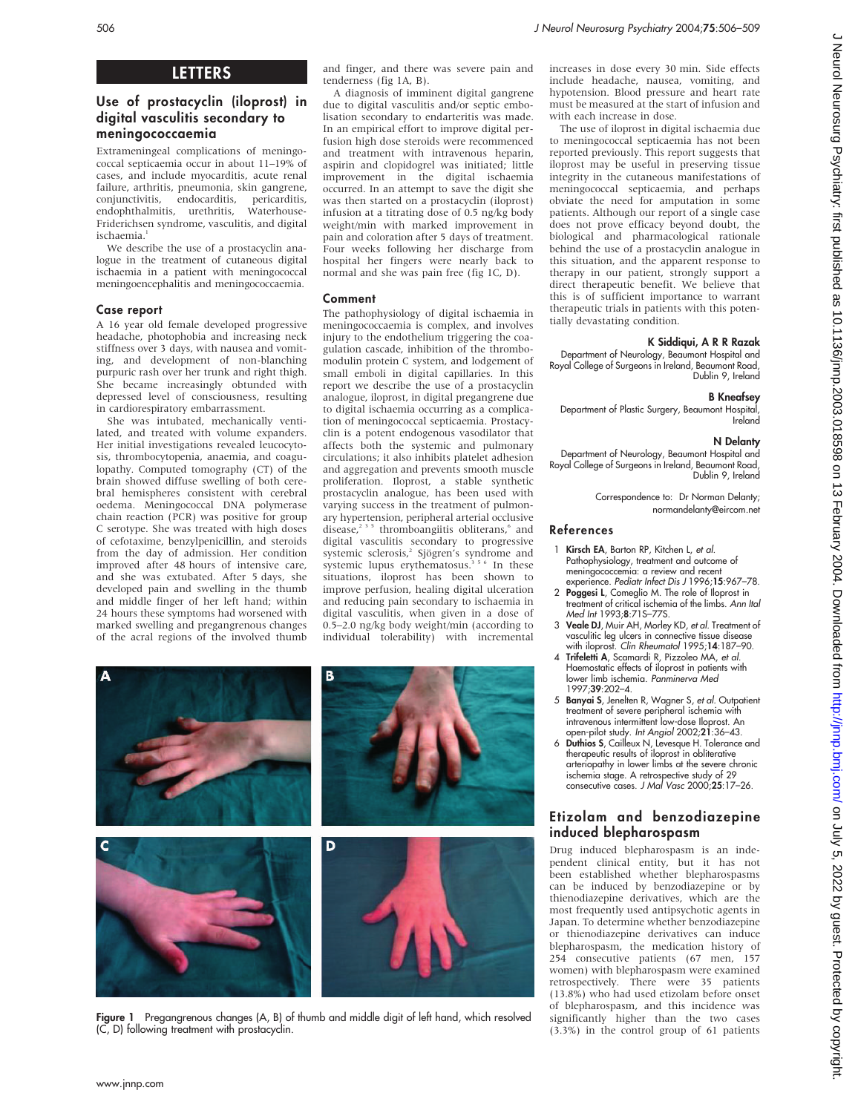# LETTERS

# Use of prostacyclin (iloprost) in digital vasculitis secondary to meningococcaemia

Extrameningeal complications of meningococcal septicaemia occur in about 11–19% of cases, and include myocarditis, acute renal failure, arthritis, pneumonia, skin gangrene, conjunctivitis, endocarditis, pericarditis, endophthalmitis, urethritis, Friderichsen syndrome, vasculitis, and digital ischaemia.<sup>1</sup>

We describe the use of a prostacyclin analogue in the treatment of cutaneous digital ischaemia in a patient with meningococcal meningoencephalitis and meningococcaemia.

## Case report

A 16 year old female developed progressive headache, photophobia and increasing neck stiffness over 3 days, with nausea and vomiting, and development of non-blanching purpuric rash over her trunk and right thigh. She became increasingly obtunded with depressed level of consciousness, resulting in cardiorespiratory embarrassment.

She was intubated, mechanically ventilated, and treated with volume expanders. Her initial investigations revealed leucocytosis, thrombocytopenia, anaemia, and coagulopathy. Computed tomography (CT) of the brain showed diffuse swelling of both cerebral hemispheres consistent with cerebral oedema. Meningococcal DNA polymerase chain reaction (PCR) was positive for group C serotype. She was treated with high doses of cefotaxime, benzylpenicillin, and steroids from the day of admission. Her condition improved after 48 hours of intensive care, and she was extubated. After 5 days, she developed pain and swelling in the thumb and middle finger of her left hand; within 24 hours these symptoms had worsened with marked swelling and pregangrenous changes of the acral regions of the involved thumb and finger, and there was severe pain and tenderness (fig 1A, B).

A diagnosis of imminent digital gangrene due to digital vasculitis and/or septic embolisation secondary to endarteritis was made. In an empirical effort to improve digital perfusion high dose steroids were recommenced and treatment with intravenous heparin, aspirin and clopidogrel was initiated; little improvement in the digital ischaemia occurred. In an attempt to save the digit she was then started on a prostacyclin (iloprost) infusion at a titrating dose of 0.5 ng/kg body weight/min with marked improvement in pain and coloration after 5 days of treatment. Four weeks following her discharge from hospital her fingers were nearly back to normal and she was pain free (fig 1C, D).

## Comment

The pathophysiology of digital ischaemia in meningococcaemia is complex, and involves injury to the endothelium triggering the coagulation cascade, inhibition of the thrombomodulin protein C system, and lodgement of small emboli in digital capillaries. In this report we describe the use of a prostacyclin analogue, iloprost, in digital pregangrene due to digital ischaemia occurring as a complication of meningococcal septicaemia. Prostacyclin is a potent endogenous vasodilator that affects both the systemic and pulmonary circulations; it also inhibits platelet adhesion and aggregation and prevents smooth muscle proliferation. Iloprost, a stable synthetic prostacyclin analogue, has been used with varying success in the treatment of pulmonary hypertension, peripheral arterial occlusive disease, $2^{3}$ <sup>5</sup> thromboangiitis obliterans, $6$  and digital vasculitis secondary to progressive systemic sclerosis,<sup>2</sup> Sjögren's syndrome and systemic lupus erythematosus.<sup>356</sup> In these situations, iloprost has been shown to improve perfusion, healing digital ulceration and reducing pain secondary to ischaemia in digital vasculitis, when given in a dose of 0.5–2.0 ng/kg body weight/min (according to individual tolerability) with incremental



Figure 1 Pregangrenous changes (A, B) of thumb and middle digit of left hand, which resolved (C, D) following treatment with prostacyclin.

increases in dose every 30 min. Side effects include headache, nausea, vomiting, and hypotension. Blood pressure and heart rate must be measured at the start of infusion and with each increase in dose.

The use of iloprost in digital ischaemia due to meningococcal septicaemia has not been reported previously. This report suggests that iloprost may be useful in preserving tissue integrity in the cutaneous manifestations of meningococcal septicaemia, and perhaps obviate the need for amputation in some patients. Although our report of a single case does not prove efficacy beyond doubt, the biological and pharmacological rationale behind the use of a prostacyclin analogue in this situation, and the apparent response to therapy in our patient, strongly support a direct therapeutic benefit. We believe that this is of sufficient importance to warrant therapeutic trials in patients with this potentially devastating condition.

# K Siddiqui, A R R Razak

Department of Neurology, Beaumont Hospital and Royal College of Surgeons in Ireland, Beaumont Road, Dublin 9, Ireland

## B Kneafsey

Department of Plastic Surgery, Beaumont Hospital, Ireland

## N Delanty

Department of Neurology, Beaumont Hospital and Royal College of Surgeons in Ireland, Beaumont Road, Dublin 9, Ireland

> Correspondence to: Dr Norman Delanty; normandelanty@eircom.net

#### References

- Kirsch EA, Barton RP, Kitchen L, et al. Pathophysiology, treatment and outcome of meningococcemia: a review and recent experience. Pediatr Infect Dis J 1996;15:967–78.
- 2 Poggesi L, Comeglio M. The role of Iloprost in treatment of critical ischemia of the limbs. Ann Ital Med Int 1993;8:71S–77S.
- 3 Veale DJ, Muir AH, Morley KD, et al. Treatment of vasculitic leg ulcers in connective tissue disease with iloprost. Clin Rheumatol 1995;14:187–90.
- 4 Trifeletti A, Scamardi R, Pizzoleo MA, et al. Haemostatic effects of iloprost in patients with lower limb ischemia. Panminerva Med 1997;39:202–4.
- 5 Banyai S, Jenelten R, Wagner S, et al. Outpatient treatment of severe peripheral ischemia with intravenous intermittent low-dose Iloprost. An open-pilot study. Int Angiol 2002;21:36–43.
- 6 Duthios S, Cailleux N, Levesque H. Tolerance and therapeutic results of iloprost in obliterative arteriopathy in lower limbs at the severe chronic ischemia stage. A retrospective study of 29 consecutive cases. J Mal Vasc 2000;25:17–26.

## Etizolam and benzodiazepine induced blepharospasm

Drug induced blepharospasm is an independent clinical entity, but it has not been established whether blepharospasms can be induced by benzodiazepine or by thienodiazepine derivatives, which are the most frequently used antipsychotic agents in Japan. To determine whether benzodiazepine or thienodiazepine derivatives can induce blepharospasm, the medication history of 254 consecutive patients (67 men, 157 women) with blepharospasm were examined retrospectively. There were 35 patients (13.8%) who had used etizolam before onset of blepharospasm, and this incidence was significantly higher than the two cases (3.3%) in the control group of 61 patients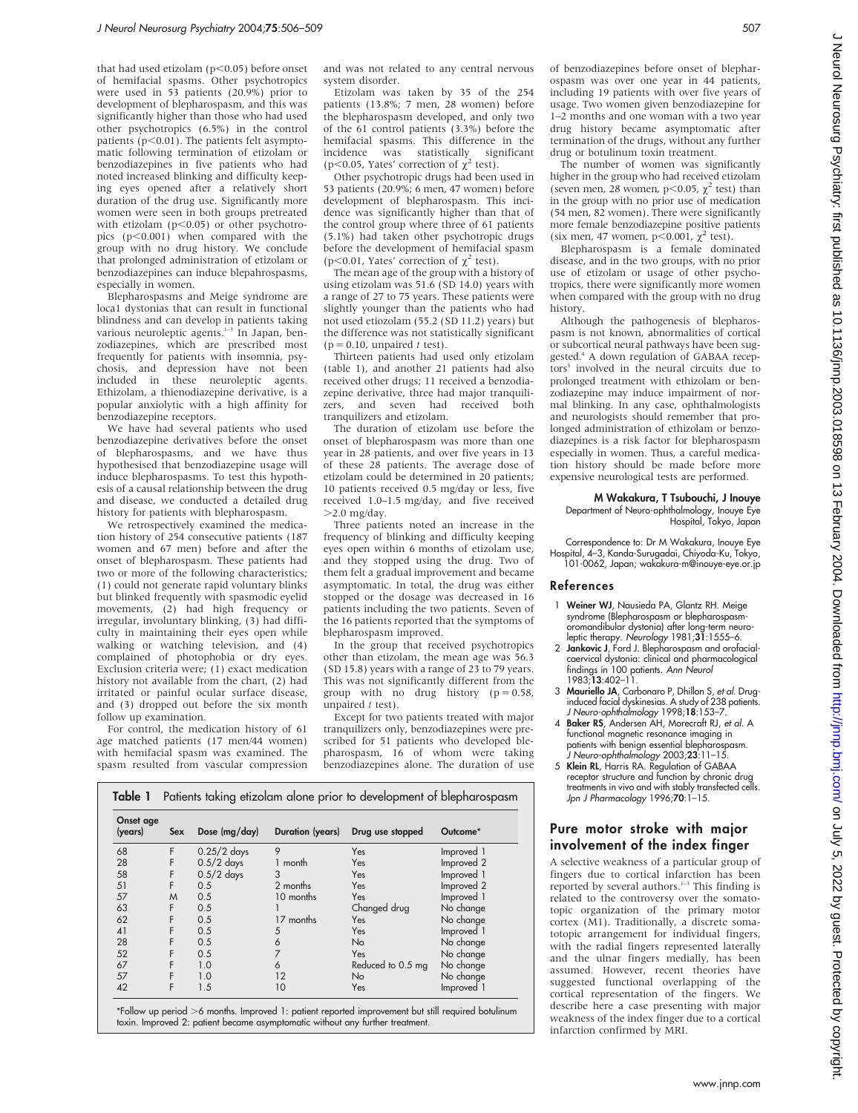that had used etizolam ( $p<0.05$ ) before onset of hemifacial spasms. Other psychotropics were used in 53 patients (20.9%) prior to development of blepharospasm, and this was significantly higher than those who had used other psychotropics (6.5%) in the control patients  $(p<0.01)$ . The patients felt asymptomatic following termination of etizolam or benzodiazepines in five patients who had noted increased blinking and difficulty keeping eyes opened after a relatively short duration of the drug use. Significantly more women were seen in both groups pretreated with etizolam ( $p<0.05$ ) or other psychotropics  $(p<0.001)$  when compared with the group with no drug history. We conclude that prolonged administration of etizolam or benzodiazepines can induce blepahrospasms, especially in women.

Blepharospasms and Meige syndrome are loca1 dystonias that can result in functional blindness and can develop in patients taking<br>various neuroleptic agents.<sup>1-3</sup> In Japan, benzodiazepines, which are prescribed most frequently for patients with insomnia, psychosis, and depression have not been included in these neuroleptic agents. Ethizolam, a thienodiazepine derivative, is a popular anxiolytic with a high affinity for benzodiazepine receptors.

We have had several patients who used benzodiazepine derivatives before the onset of blepharospasms, and we have thus hypothesised that benzodiazepine usage will induce blepharospasms. To test this hypothesis of a causal relationship between the drug and disease, we conducted a detailed drug history for patients with blepharospasm.

We retrospectively examined the medication history of 254 consecutive patients (187 women and 67 men) before and after the onset of blepharospasm. These patients had two or more of the following characteristics; (1) could not generate rapid voluntary blinks but blinked frequently with spasmodic eyelid movements, (2) had high frequency or irregular, involuntary blinking, (3) had difficulty in maintaining their eyes open while walking or watching television, and (4) complained of photophobia or dry eyes. Exclusion criteria were; (1) exact medication history not available from the chart, (2) had irritated or painful ocular surface disease, and (3) dropped out before the six month follow up examination.

For control, the medication history of 61 age matched patients (17 men/44 women) with hemifacial spasm was examined. The spasm resulted from vascular compression and was not related to any central nervous system disorder.

Etizolam was taken by 35 of the 254 patients (13.8%; 7 men, 28 women) before the blepharospasm developed, and only two of the 61 control patients (3.3%) before the hemifacial spasms. This difference in the incidence was statistically significant (p $\leq$ 0.05, Yates' correction of  $\chi^2$  test).

Other psychotropic drugs had been used in 53 patients (20.9%; 6 men, 47 women) before development of blepharospasm. This incidence was significantly higher than that of the control group where three of 61 patients (5.1%) had taken other psychotropic drugs before the development of hemifacial spasm ( $p \leq 0.01$ . Yates' correction of  $\gamma^2$  test).

The mean age of the group with a history of using etizolam was 51.6 (SD 14.0) years with a range of 27 to 75 years. These patients were slightly younger than the patients who had not used etiozolam (55.2 (SD 11.2) years) but the difference was not statistically significant  $(p = 0.10,$  unpaired t test).

Thirteen patients had used only etizolam (table 1), and another 21 patients had also received other drugs; 11 received a benzodiazepine derivative, three had major tranquilizers, and seven had received both tranquilizers and etizolam.

The duration of etizolam use before the onset of blepharospasm was more than one year in 28 patients, and over five years in 13 of these 28 patients. The average dose of etizolam could be determined in 20 patients; 10 patients received 0.5 mg/day or less, five received 1.0–1.5 mg/day, and five received  $>2.0$  mg/day.

Three patients noted an increase in the frequency of blinking and difficulty keeping eyes open within 6 months of etizolam use, and they stopped using the drug. Two of them felt a gradual improvement and became asymptomatic. In total, the drug was either stopped or the dosage was decreased in 16 patients including the two patients. Seven of the 16 patients reported that the symptoms of blepharospasm improved.

In the group that received psychotropics other than etizolam, the mean age was 56.3 (SD 15.8) years with a range of 23 to 79 years. This was not significantly different from the group with no drug history  $(p = 0.58,$ unpaired  $t$  test).

Except for two patients treated with major tranquilizers only, benzodiazepines were prescribed for 51 patients who developed blepharospasm, 16 of whom were taking benzodiazepines alone. The duration of use

| Table 1              | Patients taking etizolam alone prior to development of blepharospasm |                 |                  |                  |            |
|----------------------|----------------------------------------------------------------------|-----------------|------------------|------------------|------------|
| Onset age<br>(years) | <b>Sex</b>                                                           | Dose $(mq/day)$ | Duration (years) | Drug use stopped | Outcome*   |
| 68                   |                                                                      | $0.25/2$ days   |                  | Yes              | Improved 1 |
| 28                   |                                                                      | $0.5/2$ days    | 1 month          | Yes              | Improved 2 |
| 58                   |                                                                      | $0.5/2$ days    |                  | Yes              | Improved 1 |
|                      |                                                                      |                 |                  |                  |            |

51 F 0.5 2 months Yes Improved 2 57 M 0.5 10 months Yes Improved 1<br>63 F 0.5 1 Changed drug No-change 63 F 0.5 1 Changed drug No change 62 F 0.5 17 months Yes<br>41 F 0.5 5 Yes 41 F 0.5 5 Yes Improved 1<br>
28 F 0.5 6 No No change<br>
52 F 0.5 7 Yes No change 28 F 0.5 6 No No change 52 F 0.5 7 Yes No change<br>67 F 1.0 6 Reduced to 0.5 mg No change 67 F 1.0 6 Reduced to 0.5 mg No change<br>57 F 1.0 12 No No No change 57 F 1.0 12 No No change 42 F 1.5 10 Yes Improved 1

\*Follow up period >6 months. Improved 1: patient reported improvement but still required botulinum toxin. Improved 2: patient became asymptomatic without any further treatment.

of benzodiazepines before onset of blepharospasm was over one year in 44 patients, including 19 patients with over five years of usage. Two women given benzodiazepine for 1–2 months and one woman with a two year drug history became asymptomatic after termination of the drugs, without any further drug or botulinum toxin treatment.

The number of women was significantly higher in the group who had received etizolam (seven men, 28 women, p<0.05,  $\chi^2$  test) than in the group with no prior use of medication (54 men, 82 women). There were significantly more female benzodiazepine positive patients (six men, 47 women,  $p$ <0.001,  $\chi^2$  test).

Blepharospasm is a female dominated disease, and in the two groups, with no prior use of etizolam or usage of other psychotropics, there were significantly more women when compared with the group with no drug history.

Although the pathogenesis of blepharospasm is not known, abnormalities of cortical or subcortical neural pathways have been suggested<sup>4</sup> A down regulation of GABAA receptors<sup>5</sup> involved in the neural circuits due to prolonged treatment with ethizolam or benzodiazepine may induce impairment of normal blinking. In any case, ophthalmologists and neurologists should remember that prolonged administration of ethizolam or benzodiazepines is a risk factor for blepharospasm especially in women. Thus, a careful medication history should be made before more expensive neurological tests are performed.

#### M Wakakura, T Tsubouchi, J Inouye Department of Neuro-ophthalmology, Inouye Eye Hospital, Tokyo, Japan

Correspondence to: Dr M Wakakura, Inouye Eye Hospital, 4–3, Kanda-Surugadai, Chiyoda-Ku, Tokyo, 101-0062, Japan; wakakura-m@inouye-eye.or.jp

#### References

- 1 Weiner WJ, Nausieda PA, Glantz RH. Meige syndrome (Blepharospasm or blepharospasmoromandibular dystonia) after long-term neuroleptic therapy. Neurology 1981; $3\overline{1}$ :1555–6.
- 2 Jankovic J, Ford J. Blepharospasm and orofacialcaervical dystonia: clinical and pharmacological tindings in 100 patients. *Ann Neuro*<br>1983;**13**:402–11.
- 3 Mauriello JA, Carbonaro P, Dhillon S, et al. Druginduced facial dyskinesias. A study of 238 patients. J Neuro-ophthalmology 1998;18:153–7.
- 4 Baker RS, Andersen AH, Morecraft RJ, et al. A functional magnetic resonance imaging in patients with benign essential blepharospasm. J Neuro-ophthalmology 2003;23:11–15.
- 5 Klein RL, Harris RA. Regulation of GABAA receptor structure and function by chronic drug treatments in vivo and with stably transfected cells. Jpn J Pharmacology 1996;70:1–15.

### Pure motor stroke with major involvement of the index finger

A selective weakness of a particular group of fingers due to cortical infarction has been reported by several authors.<sup>1-3</sup> This finding is related to the controversy over the somatotopic organization of the primary motor cortex (M1). Traditionally, a discrete somatotopic arrangement for individual fingers, with the radial fingers represented laterally and the ulnar fingers medially, has been assumed. However, recent theories have suggested functional overlapping of the cortical representation of the fingers. We describe here a case presenting with major weakness of the index finger due to a cortical infarction confirmed by MRI.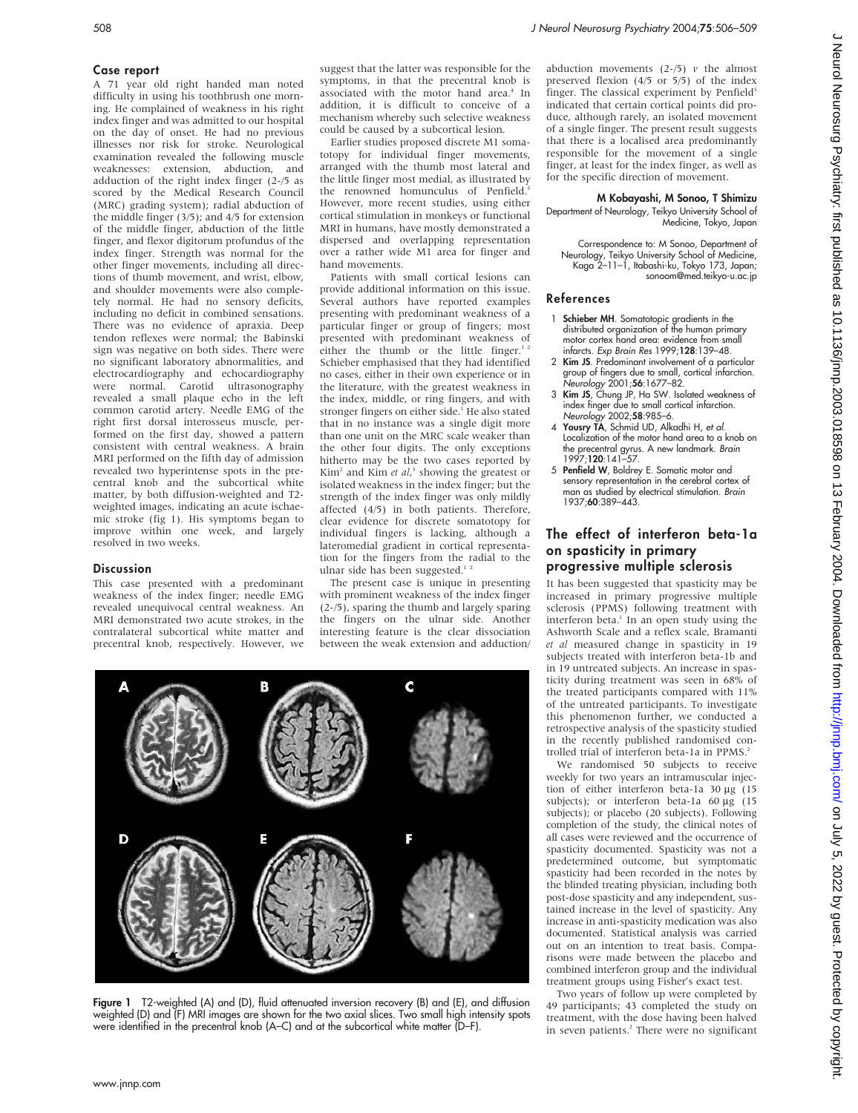### Case report

A 71 year old right handed man noted difficulty in using his toothbrush one morning. He complained of weakness in his right index finger and was admitted to our hospital on the day of onset. He had no previous illnesses nor risk for stroke. Neurological examination revealed the following muscle weaknesses: extension, abduction, and adduction of the right index finger (2-/5 as scored by the Medical Research Council (MRC) grading system); radial abduction of the middle finger (3/5); and 4/5 for extension of the middle finger, abduction of the little finger, and flexor digitorum profundus of the index finger. Strength was normal for the other finger movements, including all directions of thumb movement, and wrist, elbow, and shoulder movements were also completely normal. He had no sensory deficits, including no deficit in combined sensations. There was no evidence of apraxia. Deep tendon reflexes were normal; the Babinski sign was negative on both sides. There were no significant laboratory abnormalities, and electrocardiography and echocardiography<br>were normal. Carotid ultrasonography  $\overrightarrow{C}$ arotid ultrasonography revealed a small plaque echo in the left common carotid artery. Needle EMG of the right first dorsal interosseus muscle, performed on the first day, showed a pattern consistent with central weakness. A brain MRI performed on the fifth day of admission revealed two hyperintense spots in the precentral knob and the subcortical white matter, by both diffusion-weighted and T2 weighted images, indicating an acute ischaemic stroke (fig 1). His symptoms began to improve within one week, and largely resolved in two weeks.

## **Discussion**

This case presented with a predominant weakness of the index finger; needle EMG revealed unequivocal central weakness. An MRI demonstrated two acute strokes, in the contralateral subcortical white matter and precentral knob, respectively. However, we

suggest that the latter was responsible for the symptoms, in that the precentral knob is associated with the motor hand area.<sup>4</sup> In addition, it is difficult to conceive of a mechanism whereby such selective weakness could be caused by a subcortical lesion.

Earlier studies proposed discrete M1 somatotopy for individual finger movements, arranged with the thumb most lateral and the little finger most medial, as illustrated by the renowned homunculus of Penfield.<sup>5</sup> However, more recent studies, using either cortical stimulation in monkeys or functional MRI in humans, have mostly demonstrated a dispersed and overlapping representation over a rather wide M1 area for finger and hand movements.

Patients with small cortical lesions can provide additional information on this issue. Several authors have reported examples presenting with predominant weakness of a particular finger or group of fingers; most presented with predominant weakness of either the thumb or the little finger.<sup>1</sup> Schieber emphasised that they had identified no cases, either in their own experience or in the literature, with the greatest weakness in the index, middle, or ring fingers, and with stronger fingers on either side.<sup>1</sup> He also stated that in no instance was a single digit more than one unit on the MRC scale weaker than the other four digits. The only exceptions hitherto may be the two cases reported by  $Kim<sup>2</sup>$  and Kim *et al*,<sup>3</sup> showing the greatest or isolated weakness in the index finger; but the strength of the index finger was only mildly affected (4/5) in both patients. Therefore, clear evidence for discrete somatotopy for individual fingers is lacking, although a lateromedial gradient in cortical representation for the fingers from the radial to the ulnar side has been suggested.<sup>1</sup>

The present case is unique in presenting with prominent weakness of the index finger (2-/5), sparing the thumb and largely sparing the fingers on the ulnar side. Another interesting feature is the clear dissociation between the weak extension and adduction/



Figure 1 T2-weighted (A) and (D), fluid attenuated inversion recovery (B) and (E), and diffusion weighted (D) and (F) MRI images are shown for the two axial slices. Two small high intensity spots were identified in the precentral knob (A–C) and at the subcortical white matter (D–F).

abduction movements  $(2-/5)$  v the almost preserved flexion (4/5 or 5/5) of the index finger. The classical experiment by Penfield<sup>5</sup> indicated that certain cortical points did produce, although rarely, an isolated movement of a single finger. The present result suggests that there is a localised area predominantly responsible for the movement of a single finger, at least for the index finger, as well as for the specific direction of movement.

# M Kobayashi, M Sonoo, T Shimizu

Department of Neurology, Teikyo University School of Medicine, Tokyo, Japan

Correspondence to: M Sonoo, Department of Neurology, Teikyo University School of Medicine, Kaga 2–11–1, Itabashi-ku, Tokyo 173, Japan; sonoom@med.teikyo-u.ac.jp

## References

- 1 Schieber MH. Somatotopic gradients in the distributed organization of the human primary motor cortex hand area: evidence from small infarcts. Exp Brain Res 1999;128:139–48.
- 2 Kim JS. Predominant involvement of a particular group of fingers due to small, cortical infarction. Neurology 2001;56:1677–82.
- 3 Kim JS, Chung JP, Ha SW. Isolated weakness of index finger due to small cortical infarction. Neurology 2002;58:985–6.
- 4 Yousry TA, Schmid UD, Alkadhi H, et al. Localization of the motor hand area to a knob on the precentral gyrus. A new landmark. Brain 1997;120:141–57.
- 5 Penfield W, Boldrey E. Somatic motor and sensory representation in the cerebral cortex of man as studied by electrical stimulation. Brain 1937;60:389–443.

# The effect of interferon beta-1a on spasticity in primary progressive multiple sclerosis

It has been suggested that spasticity may be increased in primary progressive multiple sclerosis (PPMS) following treatment with interferon beta. $1$  In an open study using the Ashworth Scale and a reflex scale, Bramanti et al measured change in spasticity in 19 subjects treated with interferon beta-1b and in 19 untreated subjects. An increase in spasticity during treatment was seen in 68% of the treated participants compared with 11% of the untreated participants. To investigate this phenomenon further, we conducted a retrospective analysis of the spasticity studied in the recently published randomised controlled trial of interferon beta-1a in PPMS.<sup>2</sup>

We randomised 50 subjects to receive weekly for two years an intramuscular injection of either interferon beta-1a  $30 \mu g$  (15 subjects); or interferon beta-1a  $60 \mu$ g (15 subjects); or placebo (20 subjects). Following completion of the study, the clinical notes of all cases were reviewed and the occurrence of spasticity documented. Spasticity was not a predetermined outcome, but symptomatic spasticity had been recorded in the notes by the blinded treating physician, including both post-dose spasticity and any independent, sustained increase in the level of spasticity. Any increase in anti-spasticity medication was also documented. Statistical analysis was carried out on an intention to treat basis. Comparisons were made between the placebo and combined interferon group and the individual treatment groups using Fisher's exact test.

Two years of follow up were completed by 49 participants; 43 completed the study on treatment, with the dose having been halved in seven patients.<sup>2</sup> There were no significant